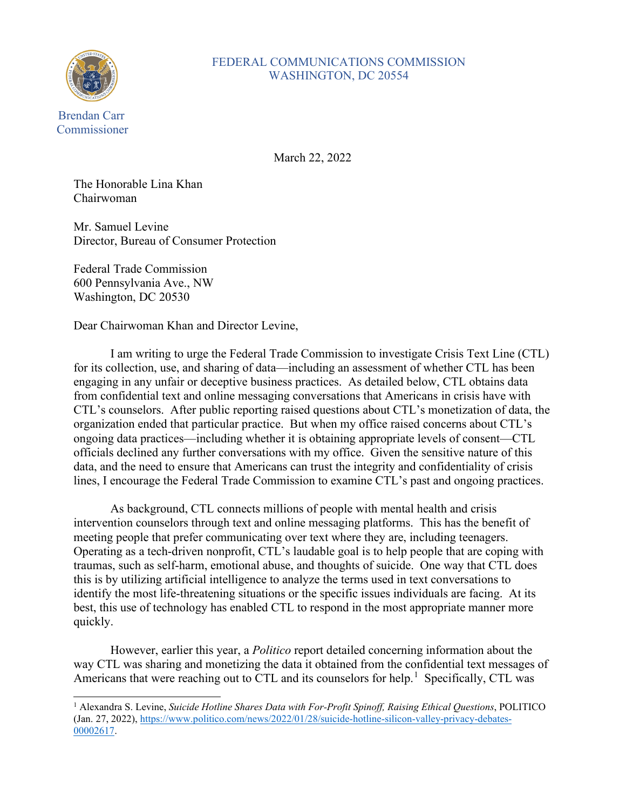

## FEDERAL COMMUNICATIONS COMMISSION WASHINGTON, DC 20554

March 22, 2022

The Honorable Lina Khan Chairwoman

Mr. Samuel Levine Director, Bureau of Consumer Protection

Federal Trade Commission 600 Pennsylvania Ave., NW Washington, DC 20530

Dear Chairwoman Khan and Director Levine,

I am writing to urge the Federal Trade Commission to investigate Crisis Text Line (CTL) for its collection, use, and sharing of data—including an assessment of whether CTL has been engaging in any unfair or deceptive business practices. As detailed below, CTL obtains data from confidential text and online messaging conversations that Americans in crisis have with CTL's counselors. After public reporting raised questions about CTL's monetization of data, the organization ended that particular practice. But when my office raised concerns about CTL's ongoing data practices—including whether it is obtaining appropriate levels of consent—CTL officials declined any further conversations with my office. Given the sensitive nature of this data, and the need to ensure that Americans can trust the integrity and confidentiality of crisis lines, I encourage the Federal Trade Commission to examine CTL's past and ongoing practices.

As background, CTL connects millions of people with mental health and crisis intervention counselors through text and online messaging platforms. This has the benefit of meeting people that prefer communicating over text where they are, including teenagers. Operating as a tech-driven nonprofit, CTL's laudable goal is to help people that are coping with traumas, such as self-harm, emotional abuse, and thoughts of suicide. One way that CTL does this is by utilizing artificial intelligence to analyze the terms used in text conversations to identify the most life-threatening situations or the specific issues individuals are facing. At its best, this use of technology has enabled CTL to respond in the most appropriate manner more quickly.

However, earlier this year, a *Politico* report detailed concerning information about the way CTL was sharing and monetizing the data it obtained from the confidential text messages of Americans that were reaching out to CTL and its counselors for help.<sup>[1](#page-0-0)</sup> Specifically, CTL was

<span id="page-0-0"></span><sup>1</sup> Alexandra S. Levine, *Suicide Hotline Shares Data with For-Profit Spinoff, Raising Ethical Questions*, POLITICO (Jan. 27, 2022), [https://www.politico.com/news/2022/01/28/suicide-hotline-silicon-valley-privacy-debates-](https://www.politico.com/news/2022/01/28/suicide-hotline-silicon-valley-privacy-debates-00002617)[00002617.](https://www.politico.com/news/2022/01/28/suicide-hotline-silicon-valley-privacy-debates-00002617)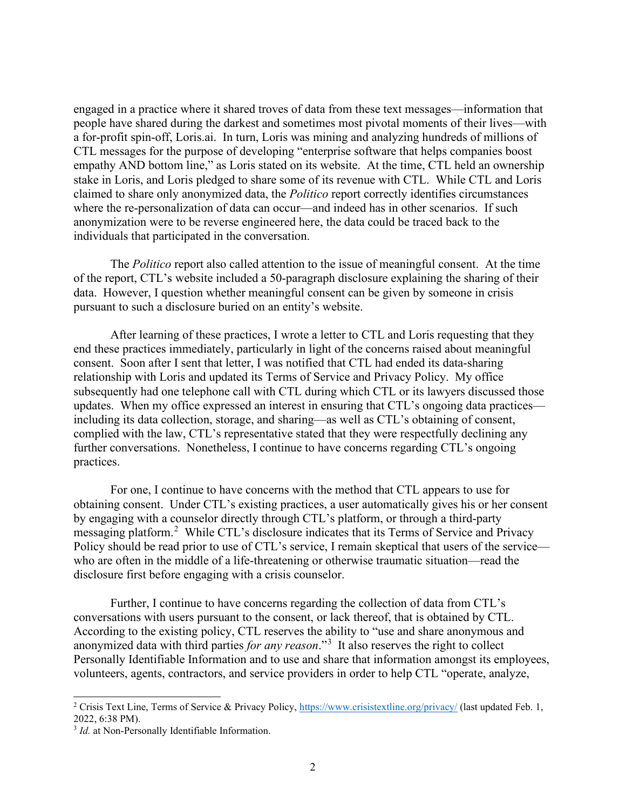engaged in a practice where it shared troves of data from these text messages—information that people have shared during the darkest and sometimes most pivotal moments of their lives—with a for-profit spin-off, Loris.ai. In turn, Loris was mining and analyzing hundreds of millions of CTL messages for the purpose of developing "enterprise software that helps companies boost empathy AND bottom line," as Loris stated on its website. At the time, CTL held an ownership stake in Loris, and Loris pledged to share some of its revenue with CTL. While CTL and Loris claimed to share only anonymized data, the *Politico* report correctly identifies circumstances where the re-personalization of data can occur—and indeed has in other scenarios. If such anonymization were to be reverse engineered here, the data could be traced back to the individuals that participated in the conversation.

The *Politico* report also called attention to the issue of meaningful consent. At the time of the report, CTL's website included a 50-paragraph disclosure explaining the sharing of their data. However, I question whether meaningful consent can be given by someone in crisis pursuant to such a disclosure buried on an entity's website.

After learning of these practices, I wrote a letter to CTL and Loris requesting that they end these practices immediately, particularly in light of the concerns raised about meaningful consent. Soon after I sent that letter, I was notified that CTL had ended its data-sharing relationship with Loris and updated its Terms of Service and Privacy Policy. My office subsequently had one telephone call with CTL during which CTL or its lawyers discussed those updates. When my office expressed an interest in ensuring that CTL's ongoing data practices including its data collection, storage, and sharing—as well as CTL's obtaining of consent, complied with the law, CTL's representative stated that they were respectfully declining any further conversations. Nonetheless, I continue to have concerns regarding CTL's ongoing practices.

For one, I continue to have concerns with the method that CTL appears to use for obtaining consent. Under CTL's existing practices, a user automatically gives his or her consent by engaging with a counselor directly through CTL's platform, or through a third-party messaging platform.<sup>[2](#page-1-0)</sup> While CTL's disclosure indicates that its Terms of Service and Privacy Policy should be read prior to use of CTL's service, I remain skeptical that users of the service who are often in the middle of a life-threatening or otherwise traumatic situation—read the disclosure first before engaging with a crisis counselor.

Further, I continue to have concerns regarding the collection of data from CTL's conversations with users pursuant to the consent, or lack thereof, that is obtained by CTL. According to the existing policy, CTL reserves the ability to "use and share anonymous and anonymized data with third parties *for any reason*."[3](#page-1-1) It also reserves the right to collect Personally Identifiable Information and to use and share that information amongst its employees, volunteers, agents, contractors, and service providers in order to help CTL "operate, analyze,

<span id="page-1-0"></span><sup>&</sup>lt;sup>2</sup> Crisis Text Line, Terms of Service & Privacy Policy,<https://www.crisistextline.org/privacy/> (last updated Feb. 1, 2022, 6:38 PM).

<span id="page-1-1"></span><sup>&</sup>lt;sup>3</sup> *Id.* at Non-Personally Identifiable Information.